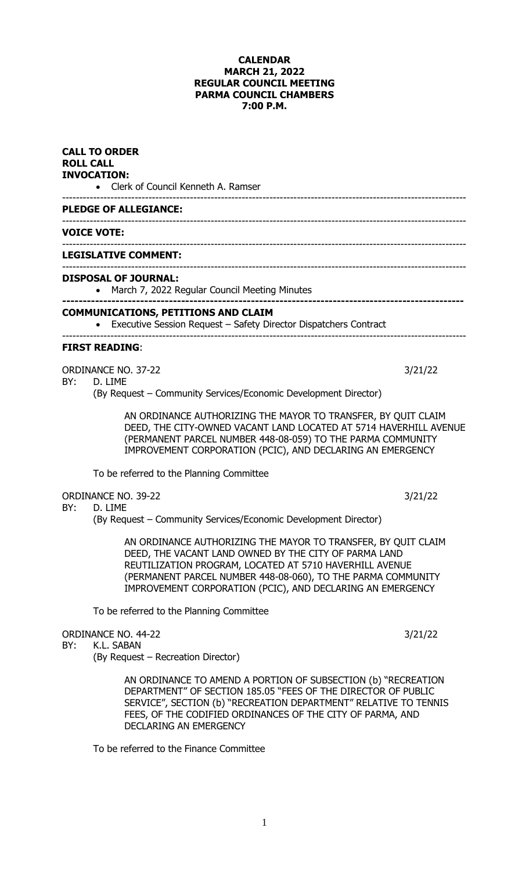# **CALENDAR MARCH 21, 2022 REGULAR COUNCIL MEETING PARMA COUNCIL CHAMBERS 7:00 P.M.**

|     | <b>CALL TO ORDER</b><br><b>ROLL CALL</b><br><b>INVOCATION:</b><br>• Clerk of Council Kenneth A. Ramser                                                                                                                                                                                                          |         |
|-----|-----------------------------------------------------------------------------------------------------------------------------------------------------------------------------------------------------------------------------------------------------------------------------------------------------------------|---------|
|     | <b>PLEDGE OF ALLEGIANCE:</b>                                                                                                                                                                                                                                                                                    |         |
|     | <b>VOICE VOTE:</b>                                                                                                                                                                                                                                                                                              |         |
|     | <b>LEGISLATIVE COMMENT:</b>                                                                                                                                                                                                                                                                                     |         |
|     | <b>DISPOSAL OF JOURNAL:</b><br>March 7, 2022 Regular Council Meeting Minutes                                                                                                                                                                                                                                    |         |
|     | <b>COMMUNICATIONS, PETITIONS AND CLAIM</b><br>Executive Session Request - Safety Director Dispatchers Contract                                                                                                                                                                                                  |         |
|     | <b>FIRST READING:</b>                                                                                                                                                                                                                                                                                           |         |
| BY: | <b>ORDINANCE NO. 37-22</b><br>D. LIME<br>(By Request – Community Services/Economic Development Director)                                                                                                                                                                                                        | 3/21/22 |
|     | AN ORDINANCE AUTHORIZING THE MAYOR TO TRANSFER, BY QUIT CLAIM<br>DEED, THE CITY-OWNED VACANT LAND LOCATED AT 5714 HAVERHILL AVENUE<br>(PERMANENT PARCEL NUMBER 448-08-059) TO THE PARMA COMMUNITY<br>IMPROVEMENT CORPORATION (PCIC), AND DECLARING AN EMERGENCY                                                 |         |
|     | To be referred to the Planning Committee                                                                                                                                                                                                                                                                        |         |
| BY: | <b>ORDINANCE NO. 39-22</b><br>D. LIME<br>(By Request – Community Services/Economic Development Director)                                                                                                                                                                                                        | 3/21/22 |
|     | AN ORDINANCE AUTHORIZING THE MAYOR TO TRANSFER, BY QUIT CLAIM<br>DEED, THE VACANT LAND OWNED BY THE CITY OF PARMA LAND<br>REUTILIZATION PROGRAM, LOCATED AT 5710 HAVERHILL AVENUE<br>(PERMANENT PARCEL NUMBER 448-08-060), TO THE PARMA COMMUNITY<br>IMPROVEMENT CORPORATION (PCIC), AND DECLARING AN EMERGENCY |         |
|     | To be referred to the Planning Committee                                                                                                                                                                                                                                                                        |         |
| BY: | <b>ORDINANCE NO. 44-22</b><br>K.L. SABAN<br>(By Request - Recreation Director)                                                                                                                                                                                                                                  | 3/21/22 |
|     | AN ORDINANCE TO AMEND A PORTION OF SUBSECTION (b) "RECREATION<br>DEPARTMENT" OF SECTION 185.05 "FEES OF THE DIRECTOR OF PUBLIC<br>SERVICE", SECTION (b) "RECREATION DEPARTMENT" RELATIVE TO TENNIS                                                                                                              |         |

To be referred to the Finance Committee

DECLARING AN EMERGENCY

FEES, OF THE CODIFIED ORDINANCES OF THE CITY OF PARMA, AND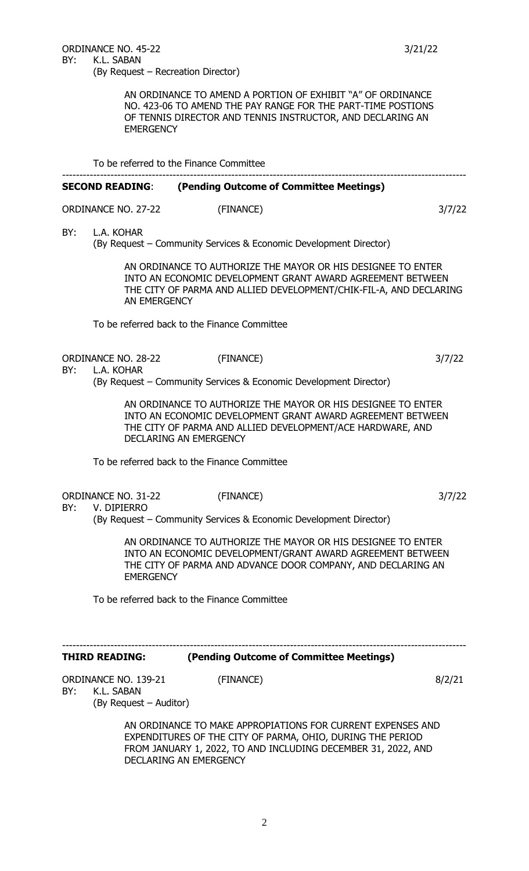AN ORDINANCE TO AMEND A PORTION OF EXHIBIT "A" OF ORDINANCE NO. 423-06 TO AMEND THE PAY RANGE FOR THE PART-TIME POSTIONS OF TENNIS DIRECTOR AND TENNIS INSTRUCTOR, AND DECLARING AN **EMERGENCY** 

To be referred to the Finance Committee

## --------------------------------------------------------------------------------------------------------------------- **SECOND READING**: **(Pending Outcome of Committee Meetings)**

| ORDINANCE NO. 27-22 | (FINANCE) | 3/7/22 |  |  |
|---------------------|-----------|--------|--|--|
|                     |           |        |  |  |

BY: L.A. KOHAR

(By Request – Community Services & Economic Development Director)

AN ORDINANCE TO AUTHORIZE THE MAYOR OR HIS DESIGNEE TO ENTER INTO AN ECONOMIC DEVELOPMENT GRANT AWARD AGREEMENT BETWEEN THE CITY OF PARMA AND ALLIED DEVELOPMENT/CHIK-FIL-A, AND DECLARING AN EMERGENCY

To be referred back to the Finance Committee

ORDINANCE NO. 28-22 (FINANCE) 3/7/22

BY: L.A. KOHAR

(By Request – Community Services & Economic Development Director)

AN ORDINANCE TO AUTHORIZE THE MAYOR OR HIS DESIGNEE TO ENTER INTO AN ECONOMIC DEVELOPMENT GRANT AWARD AGREEMENT BETWEEN THE CITY OF PARMA AND ALLIED DEVELOPMENT/ACE HARDWARE, AND DECLARING AN EMERGENCY

To be referred back to the Finance Committee

ORDINANCE NO. 31-22 (FINANCE) 3/7/22

## BY: V. DIPIERRO

(By Request – Community Services & Economic Development Director)

AN ORDINANCE TO AUTHORIZE THE MAYOR OR HIS DESIGNEE TO ENTER INTO AN ECONOMIC DEVELOPMENT/GRANT AWARD AGREEMENT BETWEEN THE CITY OF PARMA AND ADVANCE DOOR COMPANY, AND DECLARING AN **EMERGENCY** 

To be referred back to the Finance Committee

## --------------------------------------------------------------------------------------------------------------------- **THIRD READING: (Pending Outcome of Committee Meetings)**

ORDINANCE NO. 139-21 (FINANCE) 8/2/21 BY: K.L. SABAN

(By Request – Auditor)

AN ORDINANCE TO MAKE APPROPIATIONS FOR CURRENT EXPENSES AND EXPENDITURES OF THE CITY OF PARMA, OHIO, DURING THE PERIOD FROM JANUARY 1, 2022, TO AND INCLUDING DECEMBER 31, 2022, AND DECLARING AN EMERGENCY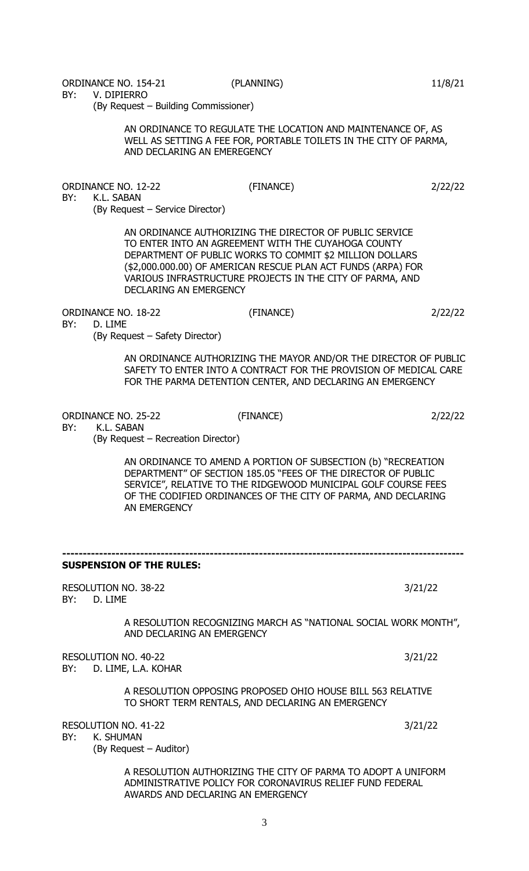ORDINANCE NO. 154-21 (PLANNING) 11/8/21

BY: V. DIPIERRO

(By Request – Building Commissioner)

AN ORDINANCE TO REGULATE THE LOCATION AND MAINTENANCE OF, AS WELL AS SETTING A FEE FOR, PORTABLE TOILETS IN THE CITY OF PARMA, AND DECLARING AN EMEREGENCY

ORDINANCE NO. 12-22 (FINANCE) 2/22/22 BY: K.L. SABAN (By Request – Service Director)

> AN ORDINANCE AUTHORIZING THE DIRECTOR OF PUBLIC SERVICE TO ENTER INTO AN AGREEMENT WITH THE CUYAHOGA COUNTY DEPARTMENT OF PUBLIC WORKS TO COMMIT \$2 MILLION DOLLARS (\$2,000.000.00) OF AMERICAN RESCUE PLAN ACT FUNDS (ARPA) FOR VARIOUS INFRASTRUCTURE PROJECTS IN THE CITY OF PARMA, AND DECLARING AN EMERGENCY

ORDINANCE NO. 18-22 (FINANCE) 2/22/22

BY: D. LIME (By Request – Safety Director)

> AN ORDINANCE AUTHORIZING THE MAYOR AND/OR THE DIRECTOR OF PUBLIC SAFETY TO ENTER INTO A CONTRACT FOR THE PROVISION OF MEDICAL CARE FOR THE PARMA DETENTION CENTER, AND DECLARING AN EMERGENCY

ORDINANCE NO. 25-22 (FINANCE) 2/22/22

BY: K.L. SABAN

(By Request – Recreation Director)

AN ORDINANCE TO AMEND A PORTION OF SUBSECTION (b) "RECREATION DEPARTMENT" OF SECTION 185.05 "FEES OF THE DIRECTOR OF PUBLIC SERVICE", RELATIVE TO THE RIDGEWOOD MUNICIPAL GOLF COURSE FEES OF THE CODIFIED ORDINANCES OF THE CITY OF PARMA, AND DECLARING AN EMERGENCY

**-------------------------------------------------------------------------------------------------- SUSPENSION OF THE RULES:** RESOLUTION NO. 38-22 3/21/22 BY: D. LIME A RESOLUTION RECOGNIZING MARCH AS "NATIONAL SOCIAL WORK MONTH", AND DECLARING AN EMERGENCY RESOLUTION NO. 40-22 3/21/22 BY: D. LIME, L.A. KOHAR A RESOLUTION OPPOSING PROPOSED OHIO HOUSE BILL 563 RELATIVE TO SHORT TERM RENTALS, AND DECLARING AN EMERGENCY RESOLUTION NO. 41-22 3/21/22 BY: K. SHUMAN (By Request – Auditor) A RESOLUTION AUTHORIZING THE CITY OF PARMA TO ADOPT A UNIFORM ADMINISTRATIVE POLICY FOR CORONAVIRUS RELIEF FUND FEDERAL AWARDS AND DECLARING AN EMERGENCY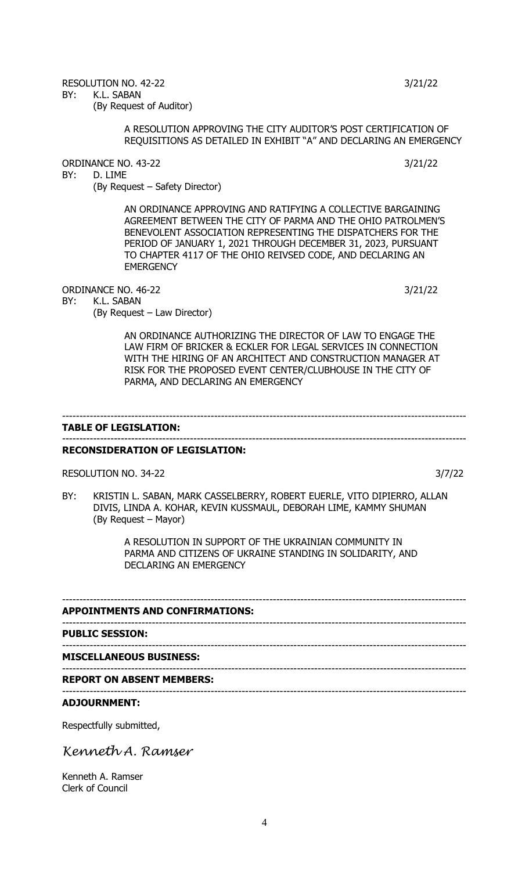4

RESOLUTION NO. 42-22 3/21/22 BY: K.L. SABAN

(By Request of Auditor)

# A RESOLUTION APPROVING THE CITY AUDITOR'S POST CERTIFICATION OF REQUISITIONS AS DETAILED IN EXHIBIT "A" AND DECLARING AN EMERGENCY

ORDINANCE NO. 43-22 3/21/22

BY: D. LIME

(By Request – Safety Director)

AN ORDINANCE APPROVING AND RATIFYING A COLLECTIVE BARGAINING AGREEMENT BETWEEN THE CITY OF PARMA AND THE OHIO PATROLMEN'S BENEVOLENT ASSOCIATION REPRESENTING THE DISPATCHERS FOR THE PERIOD OF JANUARY 1, 2021 THROUGH DECEMBER 31, 2023, PURSUANT TO CHAPTER 4117 OF THE OHIO REIVSED CODE, AND DECLARING AN **EMERGENCY** 

ORDINANCE NO. 46-22 3/21/22

BY: K.L. SABAN

(By Request – Law Director)

AN ORDINANCE AUTHORIZING THE DIRECTOR OF LAW TO ENGAGE THE LAW FIRM OF BRICKER & ECKLER FOR LEGAL SERVICES IN CONNECTION WITH THE HIRING OF AN ARCHITECT AND CONSTRUCTION MANAGER AT RISK FOR THE PROPOSED EVENT CENTER/CLUBHOUSE IN THE CITY OF PARMA, AND DECLARING AN EMERGENCY

## --------------------------------------------------------------------------------------------------------------------- **TABLE OF LEGISLATION:**

## --------------------------------------------------------------------------------------------------------------------- **RECONSIDERATION OF LEGISLATION:**

RESOLUTION NO. 34-22 3/7/22

BY: KRISTIN L. SABAN, MARK CASSELBERRY, ROBERT EUERLE, VITO DIPIERRO, ALLAN DIVIS, LINDA A. KOHAR, KEVIN KUSSMAUL, DEBORAH LIME, KAMMY SHUMAN (By Request – Mayor)

> A RESOLUTION IN SUPPORT OF THE UKRAINIAN COMMUNITY IN PARMA AND CITIZENS OF UKRAINE STANDING IN SOLIDARITY, AND DECLARING AN EMERGENCY

--------------------------------------------------------------------------------------------------------------------- **APPOINTMENTS AND CONFIRMATIONS:** --------------------------------------------------------------------------------------------------------------------- **PUBLIC SESSION:** --------------------------------------------------------------------------------------------------------------------- **MISCELLANEOUS BUSINESS:** --------------------------------------------------------------------------------------------------------------------- **REPORT ON ABSENT MEMBERS:** ---------------------------------------------------------------------------------------------------------------------

# **ADJOURNMENT:**

Respectfully submitted,

*Kenneth A. Ramser*

Kenneth A. Ramser Clerk of Council